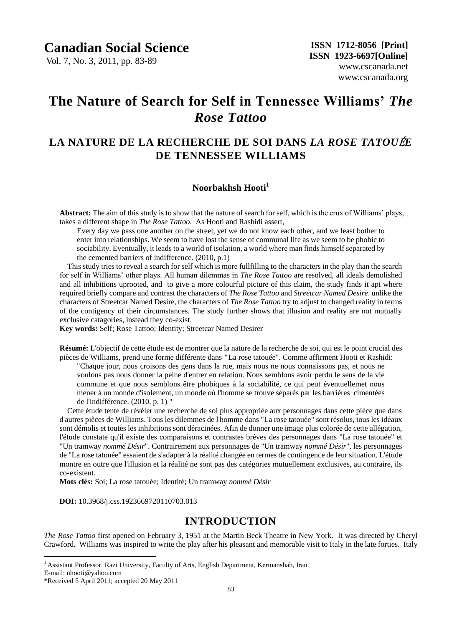Vol. 7, No. 3, 2011, pp. 83-89

# **The Nature of Search for Self in Tennessee Williams'** *The Rose Tattoo*

## **LA NATURE DE LA RECHERCHE DE SOI DANS** *LA ROSE TATOU*É*E* **DE TENNESSEE WILLIAMS**

### **Noorbakhsh Hooti<sup>1</sup>**

**Abstract:** The aim of this study is to show that the nature of search for self, which is the crux of Williams" plays, takes a different shape in *The Rose Tattoo*. As Hooti and Rashidi assert,

Every day we pass one another on the street, yet we do not know each other, and we least bother to enter into relationships. We seem to have lost the sense of communal life as we seem to be phobic to sociability. Eventually, it leads to a world of isolation, a world where man finds himself separated by the cemented barriers of indifference. (2010, p.1)

This study tries to reveal a search for self which is more fullfilling to the characters in the play than the search for self in Williams" other plays. All human dilemmas in *The Rose Tattoo* are resolved, all ideals demolished and all inhibitions uprooted, and to give a more colourful picture of this claim, the study finds it apt where required briefly compare and contrast the characters of *The Rose Tattoo* and *Streetcar Named Desire*. unlike the characters of Streetcar Named Desire, the characters of *The Rose Tattoo* try to adjust to changed reality in terms of the contigency of their circumstances. The study further shows that illusion and reality are not mutually exclusive catagories, instead they co-exist.

**Key words:** Self; Rose Tattoo; Identity; Streetcar Named Desirer

**Résumé:** L'objectif de cette étude est de montrer que la nature de la recherche de soi, qui est le point crucial des pièces de Williams, prend une forme différente dans **"**La rose tatouée". Comme affirment Hooti et Rashidi:

"Chaque jour, nous croisons des gens dans la rue, mais nous ne nous connaissons pas, et nous ne voulons pas nous donner la peine d'entrer en relation. Nous semblons avoir perdu le sens de la vie commune et que nous semblons être phobiques à la sociabilité, ce qui peut éventuellemet nous mener à un monde d'isolement, un monde où l'homme se trouve séparés par les barrières cimentées de l'indifférence. (2010, p. 1) "

Cette étude tente de révéler une recherche de soi plus appropriée aux personnages dans cette pièce que dans d'autres pièces de Williams. Tous les dilemmes de l'homme dans "La rose tatouée" sont résolus, tous les idéaux sont démolis et toutes les inhibitions sont déracinées. Afin de donner une image plus colorée de cette allégation, l'étude constate qu'il existe des comparaisons et contrastes brèves des personnages dans "La rose tatouée" et "Un tramway *nommé Désir*". Contrairement aux personnages de "Un tramway *nommé Désir*", les personnages de "La rose tatou ée" essaient de s'adapter à la réalité changée en termes de contingence de leur situation. L'étude montre en outre que l'illusion et la réalité ne sont pas des catégories mutuellement exclusives, au contraire, ils co-existent.

**Mots clés:** Soi; La rose tatouée; Identité; Un tramway *nommé Désir*

**DOI:** 10.3968/j.css.1923669720110703.013

### **INTRODUCTION**

*The Rose Tattoo* first opened on February 3, 1951 at the Martin Beck Theatre in New York. It was directed by Cheryl Crawford. Williams was inspired to write the play after his pleasant and memorable visit to Italy in the late forties. Italy

 $\overline{a}$ 

<sup>&</sup>lt;sup>1</sup> Assistant Professor, Razi University, Faculty of Arts, English Department, Kermanshah, Iran.

E-mail: nhooti@yahoo.com

<sup>\*</sup>Received 5 April 2011; accepted 20 May 2011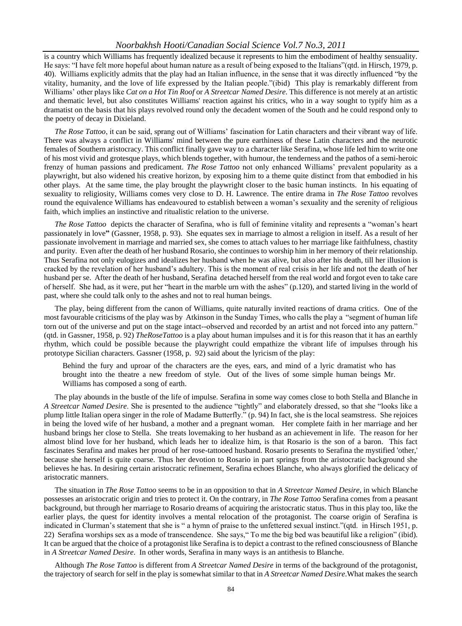is a country which Williams has frequently idealized because it represents to him the embodiment of healthy sensuality. He says: "I have felt more hopeful about human nature as a result of being exposed to the Italians"(qtd. in Hirsch, 1979, p. 40). Williams explicitly admits that the play had an Italian influence, in the sense that it was directly influenced "by the vitality, humanity, and the love of life expressed by the Italian people."(ibid) This play is remarkably different from Williams" other plays like *Cat on a Hot Tin Roof* or *A Streetcar Named Desire*. This difference is not merely at an artistic and thematic level, but also constitutes Williams' reaction against his critics, who in a way sought to typify him as a dramatist on the basis that his plays revolved round only the decadent women of the South and he could respond only to the poetry of decay in Dixieland.

*The Rose Tattoo*, it can be said, sprang out of Williams" fascination for Latin characters and their vibrant way of life. There was always a conflict in Williams' mind between the pure earthiness of these Latin characters and the neurotic females of Southern aristocracy. This conflict finally gave way to a character like Serafina, whose life led him to write one of his most vivid and grotesque plays, which blends together, with humour, the tenderness and the pathos of a semi-heroic frenzy of human passions and predicament. *The Rose Tattoo* not only enhanced Williams" prevalent popularity as a playwright, but also widened his creative horizon, by exposing him to a theme quite distinct from that embodied in his other plays. At the same time, the play brought the playwright closer to the basic human instincts. In his equating of sexuality to religiosity, Williams comes very close to D. H. Lawrence. The entire drama in *The Rose Tattoo* revolves round the equivalence Williams has endeavoured to establish between a woman"s sexuality and the serenity of religious faith, which implies an instinctive and ritualistic relation to the universe.

*The Rose Tattoo* depicts the character of Serafina, who is full of feminine vitality and represents a "woman"s heart passionately in love**"** (Gassner, 1958, p. 93). She equates sex in marriage to almost a religion in itself. As a result of her passionate involvement in marriage and married sex, she comes to attach values to her marriage like faithfulness, chastity and purity. Even after the death of her husband Rosario, she continues to worship him in her memory of their relationship. Thus Serafina not only eulogizes and idealizes her husband when he was alive, but also after his death, till her illusion is cracked by the revelation of her husband"s adultery. This is the moment of real crisis in her life and not the death of her husband per se. After the death of her husband, Serafina detached herself from the real world and forgot even to take care of herself. She had, as it were, put her "heart in the marble urn with the ashes" (p.120), and started living in the world of past, where she could talk only to the ashes and not to real human beings.

The play, being different from the canon of Williams, quite naturally invited reactions of drama critics. One of the most favourable criticisms of the play was by Atkinson in the Sunday Times, who calls the play a "segment of human life torn out of the universe and put on the stage intact--observed and recorded by an artist and not forced into any pattern." (qtd. in Gassner, 1958, p. 92) *TheRoseTattoo* is a play about human impulses and it is for this reason that it has an earthly rhythm, which could be possible because the playwright could empathize the vibrant life of impulses through his prototype Sicilian characters. Gassner (1958, p. 92) said about the lyricism of the play:

Behind the fury and uproar of the characters are the eyes, ears, and mind of a lyric dramatist who has brought into the theatre a new freedom of style. Out of the lives of some simple human beings Mr. Williams has composed a song of earth.

The play abounds in the bustle of the life of impulse. Serafina in some way comes close to both Stella and Blanche in *A Streetcar Named Desire*. She is presented to the audience "tightly" and elaborately dressed, so that she "looks like a plump little Italian opera singer in the role of Madame Butterfly." (p. 94) In fact, she is the local seamstress. She rejoices in being the loved wife of her husband, a mother and a pregnant woman. Her complete faith in her marriage and her husband brings her close to Stella. She treats lovemaking to her husband as an achievement in life. The reason for her almost blind love for her husband, which leads her to idealize him, is that Rosario is the son of a baron. This fact fascinates Serafina and makes her proud of her rose-tattooed husband. Rosario presents to Serafina the mystified 'other,' because she herself is quite coarse. Thus her devotion to Rosario in part springs from the aristocratic background she believes he has. In desiring certain aristocratic refinement, Serafina echoes Blanche, who always glorified the delicacy of aristocratic manners.

The situation in *The Rose Tattoo* seems to be in an opposition to that in *A Streetcar Named Desire*, in which Blanche possesses an aristocratic origin and tries to protect it. On the contrary, in *The Rose Tattoo* Serafina comes from a peasant background, but through her marriage to Rosario dreams of acquiring the aristocratic status. Thus in this play too, like the earlier plays, the quest for identity involves a mental relocation of the protagonist. The coarse origin of Serafina is indicated in Clurman"s statement that she is " a hymn of praise to the unfettered sexual instinct."(qtd. in Hirsch 1951, p. 22) Serafina worships sex as a mode of transcendence. She says," To me the big bed was beautiful like a religion" (ibid). It can be argued that the choice of a protagonist like Serafina is to depict a contrast to the refined consciousness of Blanche in *A Streetcar Named Desire*. In other words, Serafina in many ways is an antithesis to Blanche.

Although *The Rose Tattoo* is different from *A Streetcar Named Desire* in terms of the background of the protagonist, the trajectory of search for self in the play is somewhat similar to that in *A Streetcar Named Desire*.What makes the search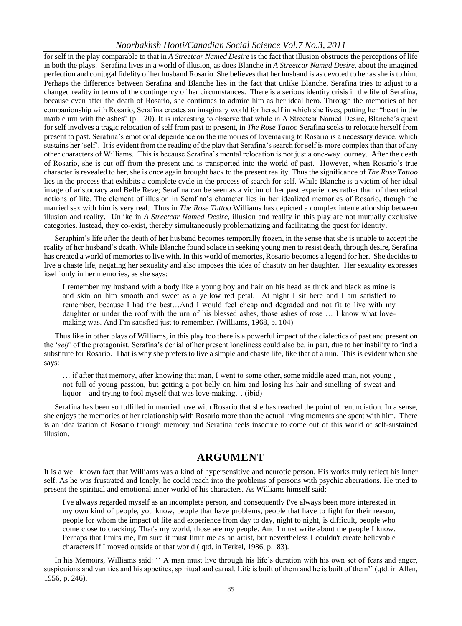for self in the play comparable to that in *A Streetcar Named Desire* is the fact that illusion obstructs the perceptions of life in both the plays. Serafina lives in a world of illusion, as does Blanche in *A Streetcar Named Desire*, about the imagined perfection and conjugal fidelity of her husband Rosario. She believes that her husband is as devoted to her as she is to him. Perhaps the difference between Serafina and Blanche lies in the fact that unlike Blanche, Serafina tries to adjust to a changed reality in terms of the contingency of her circumstances. There is a serious identity crisis in the life of Serafina, because even after the death of Rosario, she continues to admire him as her ideal hero. Through the memories of her companionship with Rosario, Serafina creates an imaginary world for herself in which she lives, putting her "heart in the marble urn with the ashes" (p. 120). It is interesting to observe that while in A Streetcar Named Desire, Blanche's quest for self involves a tragic relocation of self from past to present, in *The Rose Tattoo* Serafina seeks to relocate herself from present to past. Serafina"s emotional dependence on the memories of lovemaking to Rosario is a necessary device, which sustains her "self". It is evident from the reading of the play that Serafina"s search for self is more complex than that of any other characters of Williams. This is because Serafina"s mental relocation is not just a one-way journey. After the death of Rosario, she is cut off from the present and is transported into the world of past. However, when Rosario"s true character is revealed to her, she is once again brought back to the present reality. Thus the significance of *The Rose Tattoo* lies in the process that exhibits a complete cycle in the process of search for self. While Blanche is a victim of her ideal image of aristocracy and Belle Reve; Serafina can be seen as a victim of her past experiences rather than of theoretical notions of life. The element of illusion in Serafina"s character lies in her idealized memories of Rosario, though the married sex with him is very real. Thus in *The Rose Tattoo* Williams has depicted a complex interrelationship between illusion and reality**.** Unlike in *A Streetcar Named Desire*, illusion and reality in this play are not mutually exclusive categories. Instead, they co-exist**,** thereby simultaneously problematizing and facilitating the quest for identity.

Seraphim"s life after the death of her husband becomes temporally frozen, in the sense that she is unable to accept the reality of her husband"s death. While Blanche found solace in seeking young men to resist death, through desire, Serafina has created a world of memories to live with. In this world of memories, Rosario becomes a legend for her. She decides to live a chaste life, negating her sexuality and also imposes this idea of chastity on her daughter. Her sexuality expresses itself only in her memories, as she says:

I remember my husband with a body like a young boy and hair on his head as thick and black as mine is and skin on him smooth and sweet as a yellow red petal. At night I sit here and I am satisfied to remember, because I had the best…And I would feel cheap and degraded and not fit to live with my daughter or under the roof with the urn of his blessed ashes, those ashes of rose … I know what lovemaking was. And I"m satisfied just to remember. (Williams, 1968, p. 104)

Thus like in other plays of Williams, in this play too there is a powerful impact of the dialectics of past and present on the "*self'* of the protagonist. Serafina"s denial of her present loneliness could also be, in part, due to her inability to find a substitute for Rosario. That is why she prefers to live a simple and chaste life, like that of a nun. This is evident when she says:

… if after that memory, after knowing that man, I went to some other, some middle aged man, not young , not full of young passion, but getting a pot belly on him and losing his hair and smelling of sweat and liquor – and trying to fool myself that was love-making… (ibid)

Serafina has been so fulfilled in married love with Rosario that she has reached the point of renunciation. In a sense, she enjoys the memories of her relationship with Rosario more than the actual living moments she spent with him. There is an idealization of Rosario through memory and Serafina feels insecure to come out of this world of self-sustained illusion.

### **ARGUMENT**

It is a well known fact that Williams was a kind of hypersensitive and neurotic person. His works truly reflect his inner self. As he was frustrated and lonely, he could reach into the problems of persons with psychic aberrations. He tried to present the spiritual and emotional inner world of his characters. As Williams himself said:

I've always regarded myself as an incomplete person, and consequently I've always been more interested in my own kind of people, you know, people that have problems, people that have to fight for their reason, people for whom the impact of life and experience from day to day, night to night, is difficult, people who come close to cracking. That's my world, those are my people. And I must write about the people I know. Perhaps that limits me, I'm sure it must limit me as an artist, but nevertheless I couldn't create believable characters if I moved outside of that world ( qtd. in Terkel, 1986, p. 83).

In his Memoirs, Williams said: " A man must live through his life's duration with his own set of fears and anger, suspicuions and vanities and his appetites, spiritual and carnal. Life is built of them and he is built of them" (qtd. in Allen, 1956, p. 246).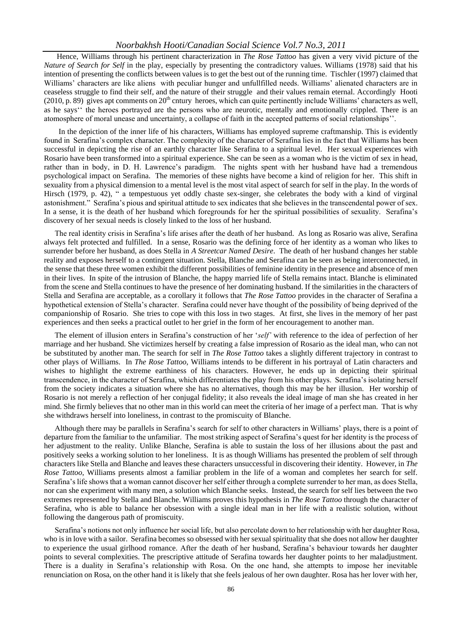Hence, Williams through his pertinent characterization in *The Rose Tattoo* has given a very vivid picture of the *Nature of Search for Self* in the play, especially by presenting the contradictory values. Williams (1978) said that his intention of presenting the conflicts between values is to get the best out of the running time. Tischler (1997) claimed that Williams' characters are like aliens with peculiar hunger and unfullfilled needs. Williams' alienated characters are in ceaseless struggle to find their self, and the nature of their struggle and their values remain eternal. Accordingly Hooti  $(2010, p. 89)$  gives apt comments on  $20<sup>th</sup>$  cntury heroes, which can quite pertinently include Williams' characters as well, as he says"" the heroes portrayed are the persons who are neurotic, mentally and emotionally crippled. There is an atomosphere of moral unease and uncertainty, a collapse of faith in the accepted patterns of social relationships"".

 In the depiction of the inner life of his characters, Williams has employed supreme craftmanship. This is evidently found in Serafina"s complex character. The complexity of the character of Serafina lies in the fact that Williams has been successful in depicting the rise of an earthly character like Serafina to a spiritual level. Her sexual experiences with Rosario have been transformed into a spiritual experience. She can be seen as a woman who is the victim of sex in head, rather than in body, in D. H. Lawrence's paradigm. The nights spent with her husband have had a tremendous psychological impact on Serafina. The memories of these nights have become a kind of religion for her. This shift in sexuality from a physical dimension to a mental level is the most vital aspect of search for self in the play. In the words of Hirsch (1979, p. 42), " a tempestuous yet oddly chaste sex-singer, she celebrates the body with a kind of virginal astonishment." Serafina"s pious and spiritual attitude to sex indicates that she believes in the transcendental power of sex. In a sense, it is the death of her husband which foregrounds for her the spiritual possibilities of sexuality. Serafina"s discovery of her sexual needs is closely linked to the loss of her husband.

The real identity crisis in Serafina"s life arises after the death of her husband. As long as Rosario was alive, Serafina always felt protected and fulfilled. In a sense, Rosario was the defining force of her identity as a woman who likes to surrender before her husband, as does Stella in *A Streetcar Named Desire*. The death of her husband changes her stable reality and exposes herself to a contingent situation. Stella, Blanche and Serafina can be seen as being interconnected, in the sense that these three women exhibit the different possibilities of feminine identity in the presence and absence of men in their lives. In spite of the intrusion of Blanche, the happy married life of Stella remains intact. Blanche is eliminated from the scene and Stella continues to have the presence of her dominating husband. If the similarities in the characters of Stella and Serafina are acceptable, as a corollary it follows that *The Rose Tattoo* provides in the character of Serafina a hypothetical extension of Stella"s character. Serafina could never have thought of the possibility of being deprived of the companionship of Rosario. She tries to cope with this loss in two stages. At first, she lives in the memory of her past experiences and then seeks a practical outlet to her grief in the form of her encouragement to another man.

The element of illusion enters in Serafina"s construction of her "*self'* with reference to the idea of perfection of her marriage and her husband. She victimizes herself by creating a false impression of Rosario as the ideal man, who can not be substituted by another man. The search for self in *The Rose Tattoo* takes a slightly different trajectory in contrast to other plays of Williams. In *The Rose Tattoo*, Williams intends to be different in his portrayal of Latin characters and wishes to highlight the extreme earthiness of his characters. However, he ends up in depicting their spiritual transcendence, in the character of Serafina, which differentiates the play from his other plays. Serafina"s isolating herself from the society indicates a situation where she has no alternatives, though this may be her illusion. Her worship of Rosario is not merely a reflection of her conjugal fidelity; it also reveals the ideal image of man she has created in her mind. She firmly believes that no other man in this world can meet the criteria of her image of a perfect man. That is why she withdraws herself into loneliness, in contrast to the promiscuity of Blanche.

Although there may be parallels in Serafina"s search for self to other characters in Williams" plays, there is a point of departure from the familiar to the unfamiliar. The most striking aspect of Serafina"s quest for her identity is the process of her adjustment to the reality. Unlike Blanche, Serafina is able to sustain the loss of her illusions about the past and positively seeks a working solution to her loneliness. It is as though Williams has presented the problem of self through characters like Stella and Blanche and leaves these characters unsuccessful in discovering their identity. However, in *The Rose Tattoo*, Williams presents almost a familiar problem in the life of a woman and completes her search for self. Serafina"s life shows that a woman cannot discover her self either through a complete surrender to her man, as does Stella, nor can she experiment with many men, a solution which Blanche seeks. Instead, the search for self lies between the two extremes represented by Stella and Blanche. Williams proves this hypothesis in *The Rose Tattoo* through the character of Serafina, who is able to balance her obsession with a single ideal man in her life with a realistic solution, without following the dangerous path of promiscuity.

Serafina"s notions not only influence her social life, but also percolate down to her relationship with her daughter Rosa, who is in love with a sailor. Serafina becomes so obsessed with her sexual spirituality that she does not allow her daughter to experience the usual girlhood romance. After the death of her husband, Serafina"s behaviour towards her daughter points to several complexities. The prescriptive attitude of Serafina towards her daughter points to her maladjustment. There is a duality in Serafina"s relationship with Rosa. On the one hand, she attempts to impose her inevitable renunciation on Rosa, on the other hand it is likely that she feels jealous of her own daughter. Rosa has her lover with her,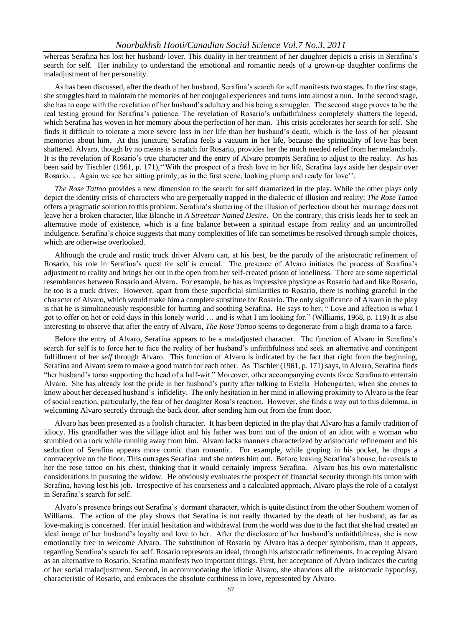whereas Serafina has lost her husband/ lover. This duality in her treatment of her daughter depicts a crisis in Serafina"s search for self. Her inability to understand the emotional and romantic needs of a grown-up daughter confirms the maladjustment of her personality.

As has been discussed, after the death of her husband, Serafina"s search for self manifests two stages. In the first stage, she struggles hard to maintain the memories of her conjugal experiences and turns into almost a nun. In the second stage, she has to cope with the revelation of her husband"s adultery and his being a smuggler. The second stage proves to be the real testing ground for Serafina"s patience. The revelation of Rosario"s unfaithfulness completely shatters the legend, which Serafina has woven in her memory about the perfection of her man. This crisis accelerates her search for self. She finds it difficult to tolerate a more severe loss in her life than her husband"s death, which is the loss of her pleasant memories about him. At this juncture, Serafina feels a vacuum in her life, because the spirituality of love has been shattered. Alvaro, though by no means is a match for Rosario, provides her the much needed relief from her melancholy. It is the revelation of Rosario"s true character and the entry of Alvaro prompts Serafina to adjust to the reality. As has been said by Tischler (1961, p. 171),""With the prospect of a fresh love in her life, Serafina lays aside her despair over Rosario… Again we see her sitting primly, as in the first scene, looking plump and ready for love"".

*The Rose Tattoo* provides a new dimension to the search for self dramatized in the play. While the other plays only depict the identity crisis of characters who are perpetually trapped in the dialectic of illusion and reality; *The Rose Tattoo* offers a pragmatic solution to this problem. Serafina"s shattering of the illusion of perfection about her marriage does not leave her a broken character, like Blanche in *A Streetcar Named Desire*. On the contrary, this crisis leads her to seek an alternative mode of existence, which is a fine balance between a spiritual escape from reality and an uncontrolled indulgence. Serafina"s choice suggests that many complexities of life can sometimes be resolved through simple choices, which are otherwise overlooked.

Although the crude and rustic truck driver Alvaro can, at his best, be the parody of the aristocratic refinement of Rosario, his role in Serafina"s quest for self is crucial. The presence of Alvaro initiates the process of Serafina"s adjustment to reality and brings her out in the open from her self-created prison of loneliness. There are some superficial resemblances between Rosario and Alvaro. For example, he has as impressive physique as Rosario had and like Rosario, he too is a truck driver. However, apart from these superficial similarities to Rosario, there is nothing graceful in the character of Alvaro, which would make him a complete substitute for Rosario. The only significance of Alvaro in the play is that he is simultaneously responsible for hurting and soothing Serafina. He says to her, " Love and affection is what I got to offer on hot or cold days in this lonely world … and is what I am looking for." (Williams, 1968, p. 119) It is also interesting to observe that after the entry of Alvaro, *The Rose Tattoo* seems to degenerate from a high drama to a farce.

Before the entry of Alvaro, Serafina appears to be a maladjusted character. The function of Alvaro in Serafina"s search for self is to force her to face the reality of her husband"s unfaithfulness and seek an alternative and contingent fulfillment of her *self* through Alvaro. This function of Alvaro is indicated by the fact that right from the beginning, Serafina and Alvaro seem to make a good match for each other. As Tischler (1961, p. 171) says, in Alvaro, Serafina finds "her husband"s torso supporting the head of a half-wit." Moreover, other accompanying events force Serafina to entertain Alvaro. She has already lost the pride in her husband"s purity after talking to Estella Hohengarten, when she comes to know about her deceased husband"s infidelity. The only hesitation in her mind in allowing proximity to Alvaro is the fear of social reaction, particularly, the fear of her daughter Rosa"s reaction. However, she finds a way out to this dilemma, in welcoming Alvaro secretly through the back door, after sending him out from the front door.

Alvaro has been presented as a foolish character. It has been depicted in the play that Alvaro has a family tradition of idiocy. His grandfather was the village idiot and his father was born out of the union of an idiot with a woman who stumbled on a rock while running away from him. Alvaro lacks manners characterized by aristocratic refinement and his seduction of Serafina appears more comic than romantic. For example, while groping in his pocket, he drops a contraceptive on the floor. This outrages Serafina and she orders him out. Before leaving Serafina"s house, he reveals to her the rose tattoo on his chest, thinking that it would certainly impress Serafina. Alvaro has his own materialistic considerations in pursuing the widow. He obviously evaluates the prospect of financial security through his union with Serafina, having lost his job. Irrespective of his coarseness and a calculated approach, Alvaro plays the role of a catalyst in Serafina"s search for self.

Alvaro"s presence brings out Serafina"s dormant character, which is quite distinct from the other Southern women of Williams. The action of the play shows that Serafina is not really thwarted by the death of her husband, as far as love-making is concerned. Her initial hesitation and withdrawal from the world was due to the fact that she had created an ideal image of her husband"s loyalty and love to her. After the disclosure of her husband"s unfaithfulness, she is now emotionally free to welcome Alvaro. The substitution of Rosario by Alvaro has a deeper symbolism, than it appears, regarding Serafina"s search for self. Rosario represents an ideal, through his aristocratic refinements. In accepting Alvaro as an alternative to Rosario, Serafina manifests two important things. First, her acceptance of Alvaro indicates the curing of her social maladjustment. Second, in accommodating the idiotic Alvaro, she abandons all the aristocratic hypocrisy, characteristic of Rosario, and embraces the absolute earthiness in love, represented by Alvaro.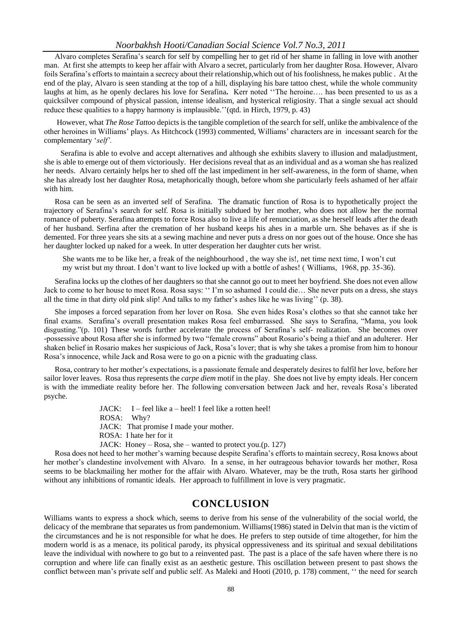Alvaro completes Serafina"s search for self by compelling her to get rid of her shame in falling in love with another man. At first she attempts to keep her affair with Alvaro a secret, particularly from her daughter Rosa. However, Alvaro foils Serafina's efforts to maintain a secrecy about their relationship, which out of his foolishness, he makes public. At the end of the play, Alvaro is seen standing at the top of a hill, displaying his bare tattoo chest, while the whole community laughs at him, as he openly declares his love for Serafina**.** Kerr noted ""The heroine…. has been presented to us as a quicksilver compound of physical passion, intense idealism, and hysterical religiosity. That a single sexual act should reduce these qualities to a happy harmony is implausible." (qtd. in Hirch, 1979, p. 43)

However, what *The Rose Tattoo* depicts is the tangible completion of the search for self, unlike the ambivalence of the other heroines in Williams" plays. As Hitchcock (1993) commented, Williams" characters are in incessant search for the complementary "*self'.*

 Serafina is able to evolve and accept alternatives and although she exhibits slavery to illusion and maladjustment, she is able to emerge out of them victoriously. Her decisions reveal that as an individual and as a woman she has realized her needs. Alvaro certainly helps her to shed off the last impediment in her self-awareness, in the form of shame, when she has already lost her daughter Rosa, metaphorically though, before whom she particularly feels ashamed of her affair with him.

Rosa can be seen as an inverted self of Serafina. The dramatic function of Rosa is to hypothetically project the trajectory of Serafina"s search for self. Rosa is initially subdued by her mother, who does not allow her the normal romance of puberty. Serafina attempts to force Rosa also to live a life of renunciation, as she herself leads after the death of her husband. Serfina after the cremation of her husband keeps his ahes in a marble urn. She behaves as if she is demented. For three years she sits at a sewing machine and never puts a dress on nor goes out of the house. Once she has her daughter locked up naked for a week. In utter desperation her daughter cuts her wrist.

She wants me to be like her, a freak of the neighbourhood , the way she is!, net time next time, I won"t cut my wrist but my throat. I don"t want to live locked up with a bottle of ashes! ( Williams, 1968, pp. 35-36).

Serafina locks up the clothes of her daughters so that she cannot go out to meet her boyfriend. She does not even allow Jack to come to her house to meet Rosa. Rosa says: "" I"m so ashamed I could die… She never puts on a dress, she stays all the time in that dirty old pink slip! And talks to my father"s ashes like he was living"" (p. 38).

She imposes a forced separation from her lover on Rosa. She even hides Rosa"s clothes so that she cannot take her final exams. Serafina"s overall presentation makes Rosa feel embarrassed. She says to Serafina, "Mama, you look disgusting."(p. 101) These words further accelerate the process of Serafina"s self- realization. She becomes over -possessive about Rosa after she is informed by two "female crowns" about Rosario"s being a thief and an adulterer. Her shaken belief in Rosario makes her suspicious of Jack, Rosa"s lover; that is why she takes a promise from him to honour Rosa"s innocence, while Jack and Rosa were to go on a picnic with the graduating class.

Rosa, contrary to her mother"s expectations, is a passionate female and desperately desires to fulfil her love, before her sailor lover leaves. Rosa thus represents the *carpe diem* motif in the play. She does not live by empty ideals. Her concern is with the immediate reality before her. The following conversation between Jack and her, reveals Rosa"s liberated psyche.

> JACK: I – feel like a – heel! I feel like a rotten heel! ROSA: Why? JACK: That promise I made your mother. ROSA: I hate her for it JACK: Honey – Rosa, she – wanted to protect you.(p. 127)

Rosa does not heed to her mother"s warning because despite Serafina"s efforts to maintain secrecy, Rosa knows about her mother"s clandestine involvement with Alvaro. In a sense, in her outrageous behavior towards her mother, Rosa seems to be blackmailing her mother for the affair with Alvaro. Whatever, may be the truth, Rosa starts her girlhood without any inhibitions of romantic ideals. Her approach to fulfillment in love is very pragmatic.

### **CONCLUSION**

Williams wants to express a shock which, seems to derive from his sense of the vulnerability of the social world, the delicacy of the membrane that separates us from pandemonium. Williams(1986) stated in Delvin that man is the victim of the circumstances and he is not responsible for what he does. He prefers to step outside of time altogether, for him the modern world is as a menace, its political parody, its physical oppressiveness and its spiritual and sexual debilitations leave the individual with nowhere to go but to a reinvented past. The past is a place of the safe haven where there is no corruption and where life can finally exist as an aesthetic gesture. This oscillation between present to past shows the conflict between man"s private self and public self. As Maleki and Hooti (2010, p. 178) comment, "" the need for search